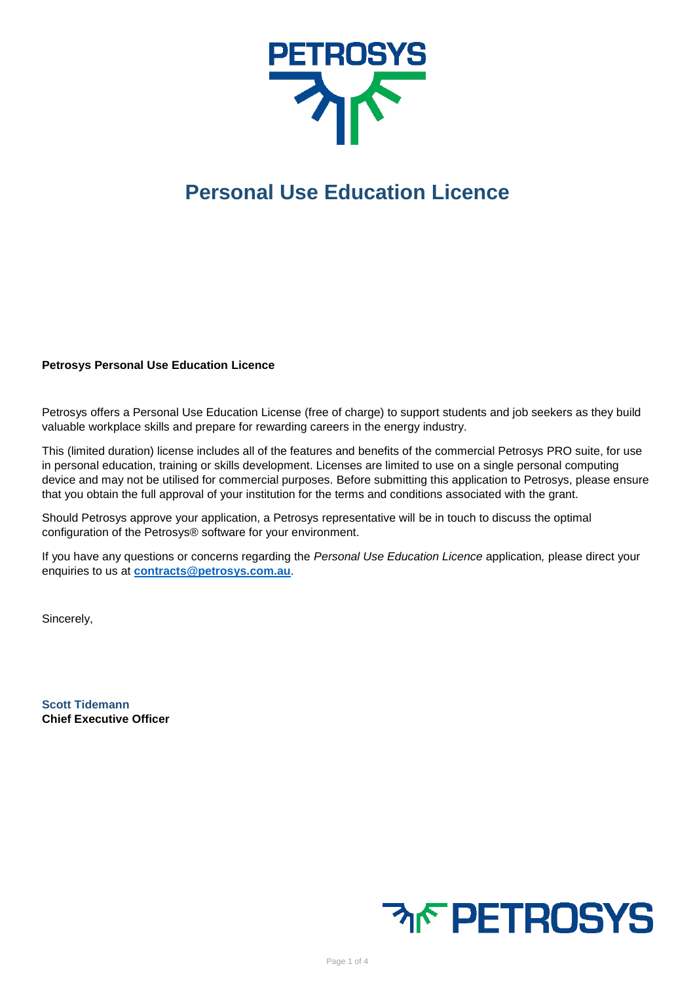

## **Personal Use Education Licence**

## **Petrosys Personal Use Education Licence**

Petrosys offers a Personal Use Education License (free of charge) to support students and job seekers as they build valuable workplace skills and prepare for rewarding careers in the energy industry.

This (limited duration) license includes all of the features and benefits of the commercial Petrosys PRO suite, for use in personal education, training or skills development. Licenses are limited to use on a single personal computing device and may not be utilised for commercial purposes. Before submitting this application to Petrosys, please ensure that you obtain the full approval of your institution for the terms and conditions associated with the grant.

Should Petrosys approve your application, a Petrosys representative will be in touch to discuss the optimal configuration of the Petrosys® software for your environment.

If you have any questions or concerns regarding the *Personal Use Education Licence* application*,* please direct your enquiries to us at **[contracts@petrosys.com.au](mailto:contracts@petrosys.com.au)**.

Sincerely,

**Scott Tidemann Chief Executive Officer**

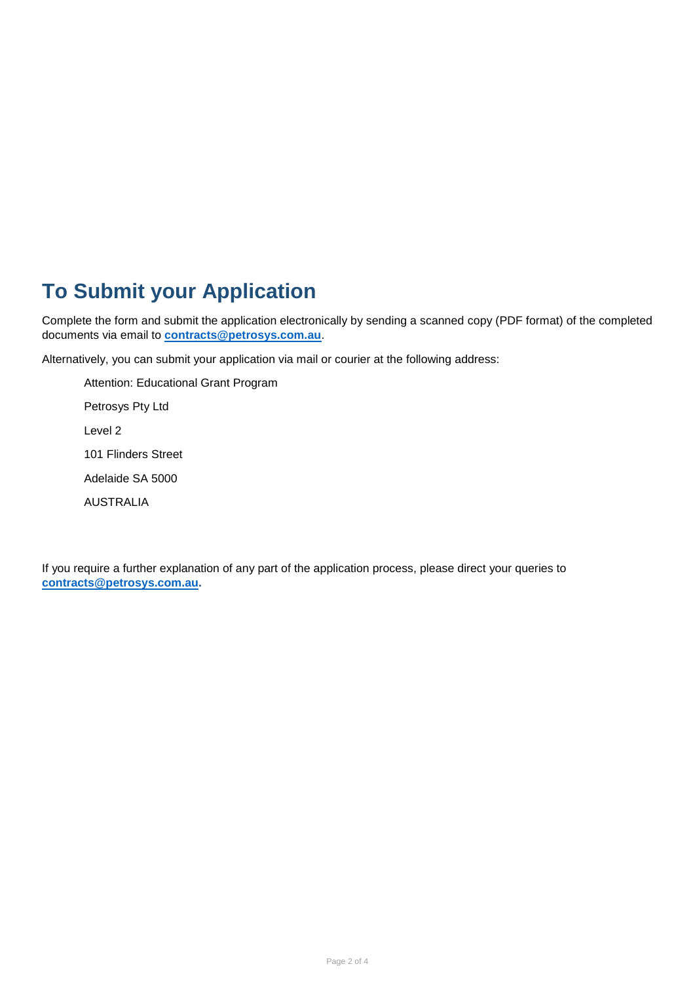## **To Submit your Application**

Complete the form and submit the application electronically by sending a scanned copy (PDF format) of the completed documents via email to **[contracts@petrosys.com.au](mailto:contracts@petrosys.com.au)**.

Alternatively, you can submit your application via mail or courier at the following address:

Attention: Educational Grant Program Petrosys Pty Ltd Level 2 101 Flinders Street Adelaide SA 5000 AUSTRALIA

If you require a further explanation of any part of the application process, please direct your queries to **[contracts@petrosys.com.au.](mailto:contracts@petrosys.com.au)**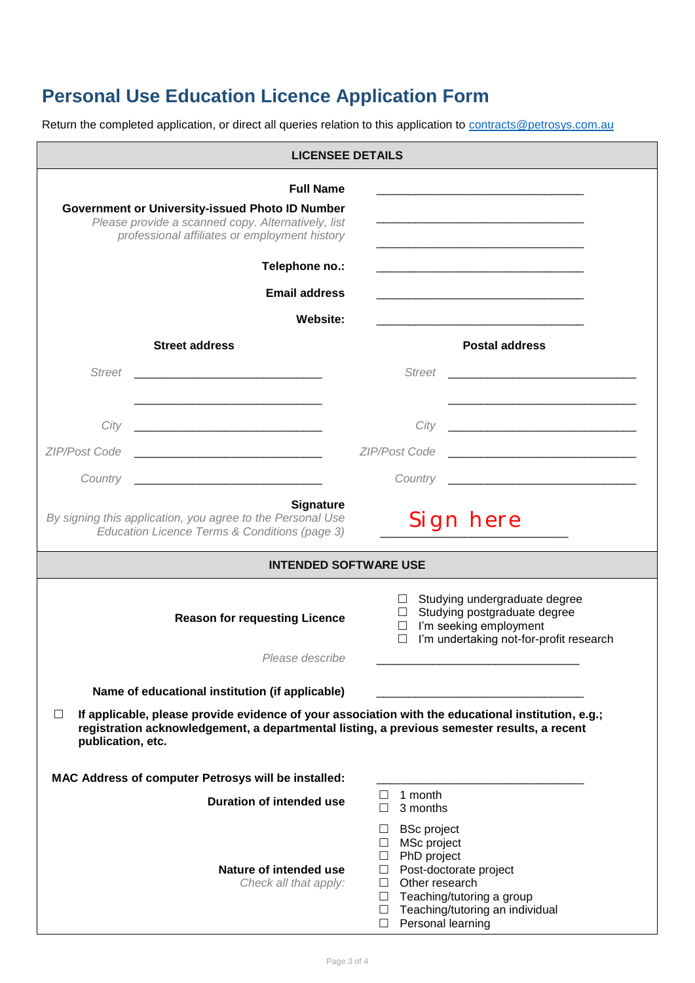## **Personal Use Education Licence Application Form**

Return the completed application, or direct all queries relation to this application to **contracts@petrosys.com.au** 

|                                                         | <b>LICENSEE DETAILS</b>                                                                                                                                                                                                                              |                                                                                                                                 |                                                                                                                                    |  |
|---------------------------------------------------------|------------------------------------------------------------------------------------------------------------------------------------------------------------------------------------------------------------------------------------------------------|---------------------------------------------------------------------------------------------------------------------------------|------------------------------------------------------------------------------------------------------------------------------------|--|
|                                                         | <b>Full Name</b><br><b>Government or University-issued Photo ID Number</b><br>Please provide a scanned copy. Alternatively, list<br>professional affiliates or employment history                                                                    |                                                                                                                                 | <u> 1980 - Johann Barbara, martin da basar da basar da basar da basar da basar da basar da basar da basar da basa</u>              |  |
|                                                         | Telephone no.:                                                                                                                                                                                                                                       |                                                                                                                                 |                                                                                                                                    |  |
|                                                         | <b>Email address</b>                                                                                                                                                                                                                                 |                                                                                                                                 |                                                                                                                                    |  |
|                                                         | Website:                                                                                                                                                                                                                                             |                                                                                                                                 |                                                                                                                                    |  |
|                                                         | <b>Street address</b>                                                                                                                                                                                                                                |                                                                                                                                 | <b>Postal address</b>                                                                                                              |  |
| <b>Street</b>                                           |                                                                                                                                                                                                                                                      | <b>Street</b>                                                                                                                   |                                                                                                                                    |  |
|                                                         |                                                                                                                                                                                                                                                      |                                                                                                                                 |                                                                                                                                    |  |
| City                                                    |                                                                                                                                                                                                                                                      | City                                                                                                                            |                                                                                                                                    |  |
| ZIP/Post Code                                           |                                                                                                                                                                                                                                                      | <b>ZIP/Post Code</b>                                                                                                            |                                                                                                                                    |  |
| Country                                                 |                                                                                                                                                                                                                                                      | Country                                                                                                                         |                                                                                                                                    |  |
|                                                         | <b>Signature</b><br>By signing this application, you agree to the Personal Use<br>Education Licence Terms & Conditions (page 3)                                                                                                                      |                                                                                                                                 | Sign here                                                                                                                          |  |
|                                                         | <b>INTENDED SOFTWARE USE</b>                                                                                                                                                                                                                         |                                                                                                                                 |                                                                                                                                    |  |
| <b>Reason for requesting Licence</b><br>Please describe |                                                                                                                                                                                                                                                      | $\Box$<br>$\Box$<br>$\Box$<br>$\Box$                                                                                            | Studying undergraduate degree<br>Studying postgraduate degree<br>I'm seeking employment<br>I'm undertaking not-for-profit research |  |
|                                                         |                                                                                                                                                                                                                                                      |                                                                                                                                 |                                                                                                                                    |  |
| $\perp$<br>publication, etc.                            | Name of educational institution (if applicable)<br>If applicable, please provide evidence of your association with the educational institution, e.g.;<br>registration acknowledgement, a departmental listing, a previous semester results, a recent |                                                                                                                                 |                                                                                                                                    |  |
|                                                         | MAC Address of computer Petrosys will be installed:                                                                                                                                                                                                  |                                                                                                                                 |                                                                                                                                    |  |
|                                                         | <b>Duration of intended use</b>                                                                                                                                                                                                                      | 1 month<br>$\Box$<br>3 months<br>П                                                                                              |                                                                                                                                    |  |
|                                                         | Nature of intended use<br>Check all that apply:                                                                                                                                                                                                      | <b>BSc</b> project<br>$\Box$<br>MSc project<br>$\Box$<br>PhD project<br>ш<br>$\Box$<br>Other research<br>$\Box$<br>$\perp$<br>П | Post-doctorate project<br>Teaching/tutoring a group<br>Teaching/tutoring an individual                                             |  |